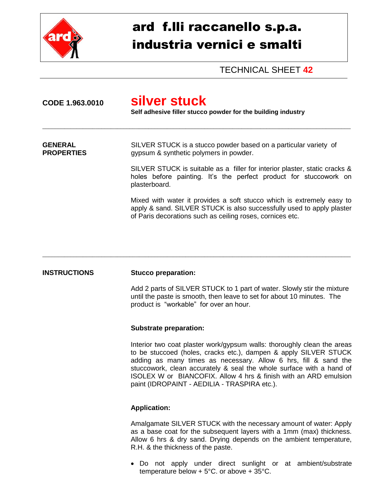

# ard f.lli raccanello s.p.a. industria vernici e smalti

TECHNICAL SHEET **42**

| CODE 1.963.0010                     | silver stuck<br>Self adhesive filler stucco powder for the building industry                                                                                                                                |  |
|-------------------------------------|-------------------------------------------------------------------------------------------------------------------------------------------------------------------------------------------------------------|--|
| <b>GENERAL</b><br><b>PROPERTIES</b> | SILVER STUCK is a stucco powder based on a particular variety of<br>gypsum & synthetic polymers in powder.                                                                                                  |  |
|                                     | SILVER STUCK is suitable as a filler for interior plaster, static cracks &<br>holes before painting. It's the perfect product for stuccowork on<br>plasterboard.                                            |  |
|                                     | Mixed with water it provides a soft stucco which is extremely easy to<br>apply & sand. SILVER STUCK is also successfully used to apply plaster<br>of Paris decorations such as ceiling roses, cornices etc. |  |

\_\_\_\_\_\_\_\_\_\_\_\_\_\_\_\_\_\_\_\_\_\_\_\_\_\_\_\_\_\_\_\_\_\_\_\_\_\_\_\_\_\_\_\_\_\_\_\_\_\_\_\_\_\_\_\_\_\_\_\_\_\_\_\_\_\_\_\_\_\_\_\_\_\_\_\_\_\_\_\_\_\_\_\_\_\_\_\_\_\_\_\_\_\_\_\_\_\_\_

## **INSTRUCTIONS Stucco preparation:**

Add 2 parts of SILVER STUCK to 1 part of water. Slowly stir the mixture until the paste is smooth, then leave to set for about 10 minutes. The product is "workable" for over an hour.

#### **Substrate preparation:**

Interior two coat plaster work/gypsum walls: thoroughly clean the areas to be stuccoed (holes, cracks etc.), dampen & apply SILVER STUCK adding as many times as necessary. Allow 6 hrs, fill & sand the stuccowork, clean accurately & seal the whole surface with a hand of ISOLEX W or BIANCOFIX. Allow 4 hrs & finish with an ARD emulsion paint (IDROPAINT - AEDILIA - TRASPIRA etc.).

#### **Application:**

Amalgamate SILVER STUCK with the necessary amount of water: Apply as a base coat for the subsequent layers with a 1mm (max) thickness. Allow 6 hrs & dry sand. Drying depends on the ambient temperature, R.H. & the thickness of the paste.

 Do not apply under direct sunlight or at ambient/substrate temperature below + 5°C. or above + 35°C.